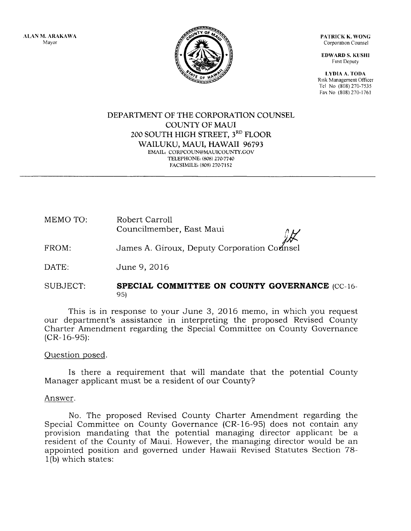ALAN M. ARAKAWA Mayor



PATRICK K. WONG Corporation Counsel

EDWARD S. KUSHI First Deputy

LYDIA A. TODA R1sk Management Officer Tel No (808) 270-7535 Fax No (808) 270-1761

#### DEPARTMENT OF THE CORPORATION COUNSEL COUNTY OF MAUl 200 SOUTH HIGH STREET, 3RD FLOOR WAILUKU, MAUl, HAWAII 96793 EMAIL: CORPCOUN@MAUICOUNTY.GOV TELEPHONE: (808) 270·7740 FACSIMILE: (808) 270-7152

| MEMO TO: | Robert Carroll           |           |
|----------|--------------------------|-----------|
|          | Councilmember, East Maui | $\Lambda$ |

FROM: James A. Giroux, Deputy Corporation Cornsel

DATE: June 9, 2016

#### SUBJECT: **SPECIAL COMMITTEE ON COUNTY GOVERNANCE** (CC-16- 95)

This is in response to your June 3, 2016 memo, in which you request our department's assistance in interpreting the proposed Revised County Charter Amendment regarding the Special Committee on County Governance (CR-16-95):

## Question posed.

Is there a requirement that will mandate that the potential County Manager applicant must be a resident of our County?

## Answer.

No. The proposed Revised County Charter Amendment regarding the Special Committee on County Governance (CR-16-95) does not contain any provision mandating that the potential managing director applicant be a resident of the County of Maui. However, the managing director would be an appointed position and governed under Hawaii Revised Statutes Section 78- 1 (b) which states: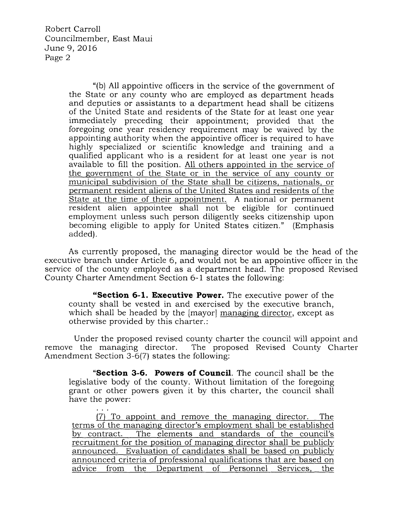Robert Carroll Councilmember, East Maui June 9, 2016 Page 2

> "(b) All appointive officers in the service of the government of the State or any county who are employed as department heads and deputies or assistants to a department head shall be citizens of the United State and residents of the State for at least one year immediately preceding their appointment; provided that the foregoing one year residency requirement may be waived by the appointing authority when the appointive officer is required to have highly specialized or scientific knowledge and training and a qualified applicant who is a resident for at least one year is not available to fill the position. All others appointed in the service of the government of the State or in the service of any county or municipal subdivision of the State shall be citizens, nationals, or permanent resident aliens of the United States and residents of the State at the time of their appointment. A national or permanent resident alien appointee shall not be eligible for continued employment unless such person diligently seeks citizenship upon becoming eligible to apply for United States citizen." (Emphasis added).

As currently proposed, the managing director would be the head of the executive branch under Article 6, and would not be an appointive officer in the service of the county employed as a department head. The proposed Revised County Charter Amendment Section 6-1 states the following:

**"Section 6-1. Executive Power.** The executive power of the county shall be vested in and exercised by the executive branch, which shall be headed by the [mayor] managing director, except as otherwise provided by this charter.:

Under the proposed revised county charter the council will appoint and remove the managing director. The proposed Revised County Charter Amendment Section 3-6(7) states the following:

**"Section 3-6. Powers of Council.** The council shall be the legislative body of the county. Without limitation of the foregoing grant or other powers given it by this charter, the council shall have the power:

{7) To appoint and remove the managing director. The terms of the managing director's employment shall be established by contract. The elements and standards of the council's recruitment for the position of managing director shall be publicly announced. Evaluation of candidates shall be based on publicly announced criteria of professional qualifications that are based on advice from the Department of Personnel Services, the